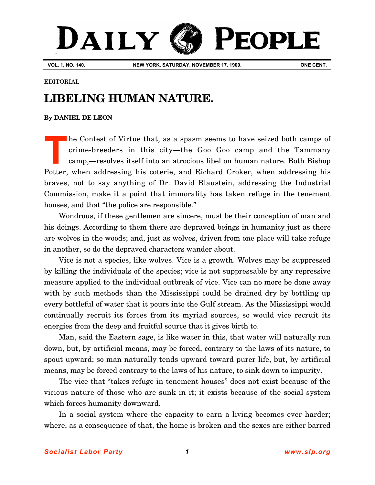## DAILY PEOPLE

**VOL. 1, NO. 140. NEW YORK, SATURDAY, NOVEMBER 17, 1900. ONE CENT.**

## EDITORIAL

## **LIBELING HUMAN NATURE.**

## **By [DANIEL DE LEON](http://www.slp.org/De_Leon.htm)**

he Contest of Virtue that, as a spasm seems to have seized both camps of crime-breeders in this city—the Goo Goo camp and the Tammany camp,—resolves itself into an atrocious libel on human nature. Both Bishop Potter, when addressing his coterie, and Richard Croker, when addressing his braves, not to say anything of Dr. David Blaustein, addressing the Industrial Commission, make it a point that immorality has taken refuge in the tenement houses, and that "the police are responsible." **T**

Wondrous, if these gentlemen are sincere, must be their conception of man and his doings. According to them there are depraved beings in humanity just as there are wolves in the woods; and, just as wolves, driven from one place will take refuge in another, so do the depraved characters wander about.

Vice is not a species, like wolves. Vice is a growth. Wolves may be suppressed by killing the individuals of the species; vice is not suppressable by any repressive measure applied to the individual outbreak of vice. Vice can no more be done away with by such methods than the Mississippi could be drained dry by bottling up every bottleful of water that it pours into the Gulf stream. As the Mississippi would continually recruit its forces from its myriad sources, so would vice recruit its energies from the deep and fruitful source that it gives birth to.

Man, said the Eastern sage, is like water in this, that water will naturally run down, but, by artificial means, may be forced, contrary to the laws of its nature, to spout upward; so man naturally tends upward toward purer life, but, by artificial means, may be forced contrary to the laws of his nature, to sink down to impurity.

The vice that "takes refuge in tenement houses" does not exist because of the vicious nature of those who are sunk in it; it exists because of the social system which forces humanity downward.

In a social system where the capacity to earn a living becomes ever harder; where, as a consequence of that, the home is broken and the sexes are either barred